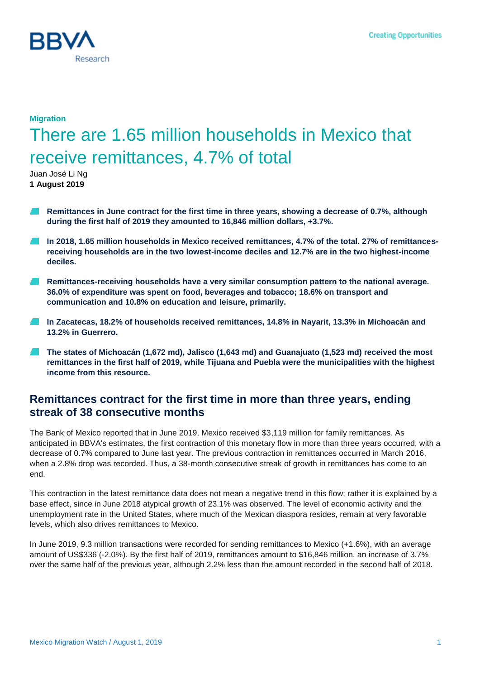

# **Migration** There are 1.65 million households in Mexico that receive remittances, 4.7% of total

Juan José Li Ng **1 August 2019**

- **Remittances in June contract for the first time in three years, showing a decrease of 0.7%, although during the first half of 2019 they amounted to 16,846 million dollars, +3.7%.**
- **In 2018, 1.65 million households in Mexico received remittances, 4.7% of the total. 27% of remittancesreceiving households are in the two lowest-income deciles and 12.7% are in the two highest-income deciles.**
- **Remittances-receiving households have a very similar consumption pattern to the national average.**  . . **36.0% of expenditure was spent on food, beverages and tobacco; 18.6% on transport and communication and 10.8% on education and leisure, primarily.**
- **In Zacatecas, 18.2% of households received remittances, 14.8% in Nayarit, 13.3% in Michoacán and 13.2% in Guerrero.**
- **The states of Michoacán (1,672 md), Jalisco (1,643 md) and Guanajuato (1,523 md) received the most remittances in the first half of 2019, while Tijuana and Puebla were the municipalities with the highest income from this resource.**

### **Remittances contract for the first time in more than three years, ending streak of 38 consecutive months**

The Bank of Mexico reported that in June 2019, Mexico received \$3,119 million for family remittances. As anticipated in BBVA's estimates, the first contraction of this monetary flow in more than three years occurred, with a decrease of 0.7% compared to June last year. The previous contraction in remittances occurred in March 2016, when a 2.8% drop was recorded. Thus, a 38-month consecutive streak of growth in remittances has come to an end.

This contraction in the latest remittance data does not mean a negative trend in this flow; rather it is explained by a base effect, since in June 2018 atypical growth of 23.1% was observed. The level of economic activity and the unemployment rate in the United States, where much of the Mexican diaspora resides, remain at very favorable levels, which also drives remittances to Mexico.

In June 2019, 9.3 million transactions were recorded for sending remittances to Mexico (+1.6%), with an average amount of US\$336 (-2.0%). By the first half of 2019, remittances amount to \$16,846 million, an increase of 3.7% over the same half of the previous year, although 2.2% less than the amount recorded in the second half of 2018.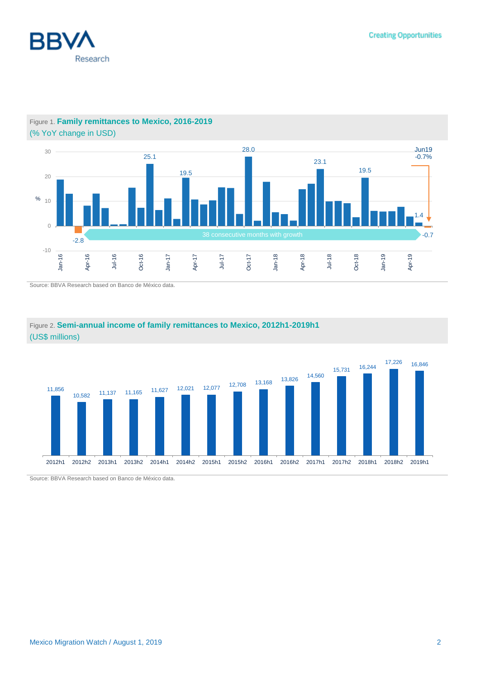



### Figure 1. **Family remittances to Mexico, 2016-2019** (% YoY change in USD)

Source: BBVA Research based on Banco de México data.



### Figure 2. **Semi-annual income of family remittances to Mexico, 2012h1-2019h1** (US\$ millions)

Source: BBVA Research based on Banco de México data.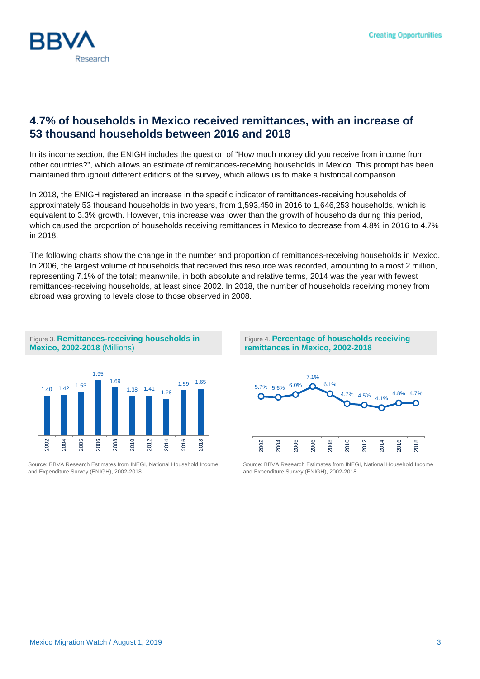

## **4.7% of households in Mexico received remittances, with an increase of 53 thousand households between 2016 and 2018**

In its income section, the ENIGH includes the question of "How much money did you receive from income from other countries?", which allows an estimate of remittances-receiving households in Mexico. This prompt has been maintained throughout different editions of the survey, which allows us to make a historical comparison.

In 2018, the ENIGH registered an increase in the specific indicator of remittances-receiving households of approximately 53 thousand households in two years, from 1,593,450 in 2016 to 1,646,253 households, which is equivalent to 3.3% growth. However, this increase was lower than the growth of households during this period, which caused the proportion of households receiving remittances in Mexico to decrease from 4.8% in 2016 to 4.7% in 2018.

The following charts show the change in the number and proportion of remittances-receiving households in Mexico. In 2006, the largest volume of households that received this resource was recorded, amounting to almost 2 million, representing 7.1% of the total; meanwhile, in both absolute and relative terms, 2014 was the year with fewest remittances-receiving households, at least since 2002. In 2018, the number of households receiving money from abroad was growing to levels close to those observed in 2008.



Source: BBVA Research Estimates from INEGI, National Household Income and Expenditure Survey (ENIGH), 2002-2018.





Source: BBVA Research Estimates from INEGI, National Household Income and Expenditure Survey (ENIGH), 2002-2018.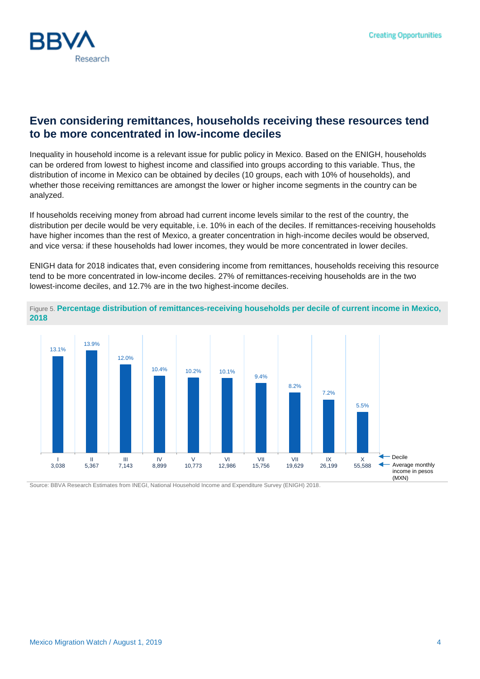

## **Even considering remittances, households receiving these resources tend to be more concentrated in low-income deciles**

Inequality in household income is a relevant issue for public policy in Mexico. Based on the ENIGH, households can be ordered from lowest to highest income and classified into groups according to this variable. Thus, the distribution of income in Mexico can be obtained by deciles (10 groups, each with 10% of households), and whether those receiving remittances are amongst the lower or higher income segments in the country can be analyzed.

If households receiving money from abroad had current income levels similar to the rest of the country, the distribution per decile would be very equitable, i.e. 10% in each of the deciles. If remittances-receiving households have higher incomes than the rest of Mexico, a greater concentration in high-income deciles would be observed, and vice versa: if these households had lower incomes, they would be more concentrated in lower deciles.

ENIGH data for 2018 indicates that, even considering income from remittances, households receiving this resource tend to be more concentrated in low-income deciles. 27% of remittances-receiving households are in the two lowest-income deciles, and 12.7% are in the two highest-income deciles.





Source: BBVA Research Estimates from INEGI, National Household Income and Expenditure Survey (ENIGH) 2018.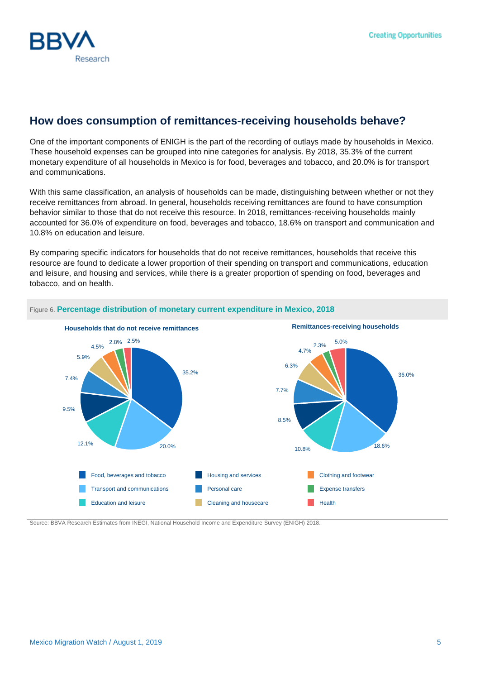

# **How does consumption of remittances-receiving households behave?**

One of the important components of ENIGH is the part of the recording of outlays made by households in Mexico. These household expenses can be grouped into nine categories for analysis. By 2018, 35.3% of the current monetary expenditure of all households in Mexico is for food, beverages and tobacco, and 20.0% is for transport and communications.

With this same classification, an analysis of households can be made, distinguishing between whether or not they receive remittances from abroad. In general, households receiving remittances are found to have consumption behavior similar to those that do not receive this resource. In 2018, remittances-receiving households mainly accounted for 36.0% of expenditure on food, beverages and tobacco, 18.6% on transport and communication and 10.8% on education and leisure.

By comparing specific indicators for households that do not receive remittances, households that receive this resource are found to dedicate a lower proportion of their spending on transport and communications, education and leisure, and housing and services, while there is a greater proportion of spending on food, beverages and tobacco, and on health.



#### Figure 6. **Percentage distribution of monetary current expenditure in Mexico, 2018**

Source: BBVA Research Estimates from INEGI, National Household Income and Expenditure Survey (ENIGH) 2018.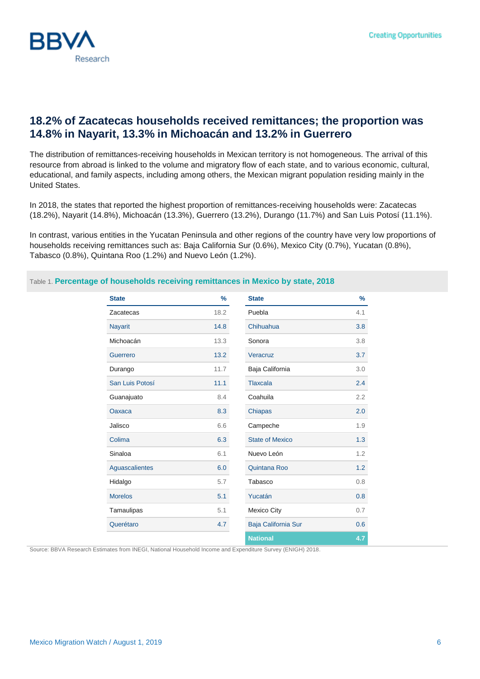

## **18.2% of Zacatecas households received remittances; the proportion was 14.8% in Nayarit, 13.3% in Michoacán and 13.2% in Guerrero**

The distribution of remittances-receiving households in Mexican territory is not homogeneous. The arrival of this resource from abroad is linked to the volume and migratory flow of each state, and to various economic, cultural, educational, and family aspects, including among others, the Mexican migrant population residing mainly in the United States.

In 2018, the states that reported the highest proportion of remittances-receiving households were: Zacatecas (18.2%), Nayarit (14.8%), Michoacán (13.3%), Guerrero (13.2%), Durango (11.7%) and San Luis Potosí (11.1%).

In contrast, various entities in the Yucatan Peninsula and other regions of the country have very low proportions of households receiving remittances such as: Baja California Sur (0.6%), Mexico City (0.7%), Yucatan (0.8%), Tabasco (0.8%), Quintana Roo (1.2%) and Nuevo León (1.2%).

### Table 1. **Percentage of households receiving remittances in Mexico by state, 2018**

| <b>State</b>    | $\frac{9}{6}$ | <b>State</b>           | $\frac{9}{6}$ |
|-----------------|---------------|------------------------|---------------|
| Zacatecas       | 18.2          | Puebla                 | 4.1           |
| <b>Nayarit</b>  | 14.8          | Chihuahua              | 3.8           |
| Michoacán       | 13.3          | Sonora                 | 3.8           |
| Guerrero        | 13.2          | Veracruz               | 3.7           |
| Durango         | 11.7          | Baja California        | 3.0           |
| San Luis Potosí | 11.1          | <b>Tlaxcala</b>        | 2.4           |
| Guanajuato      | 8.4           | Coahuila               | 2.2           |
| Oaxaca          | 8.3           | Chiapas                | 2.0           |
| Jalisco         | 6.6           | Campeche               | 1.9           |
| Colima          | 6.3           | <b>State of Mexico</b> | 1.3           |
| Sinaloa         | 6.1           | Nuevo León             | 1.2           |
| Aguascalientes  | 6.0           | Quintana Roo           | 1.2           |
| Hidalgo         | 5.7           | Tabasco                | 0.8           |
| <b>Morelos</b>  | 5.1           | Yucatán                | 0.8           |
| Tamaulipas      | 5.1           | <b>Mexico City</b>     | 0.7           |
| Querétaro       | 4.7           | Baja California Sur    | 0.6           |
|                 |               | <b>National</b>        | 4.7           |

Source: BBVA Research Estimates from INEGI, National Household Income and Expenditure Survey (ENIGH) 2018.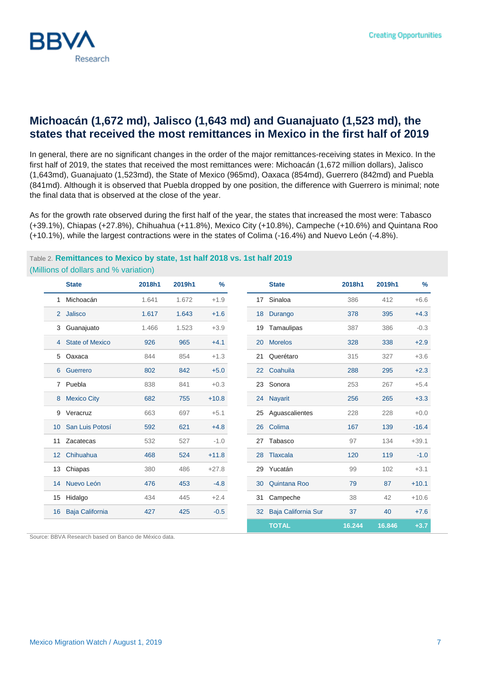

### **Michoacán (1,672 md), Jalisco (1,643 md) and Guanajuato (1,523 md), the states that received the most remittances in Mexico in the first half of 2019**

In general, there are no significant changes in the order of the major remittances-receiving states in Mexico. In the first half of 2019, the states that received the most remittances were: Michoacán (1,672 million dollars), Jalisco (1,643md), Guanajuato (1,523md), the State of Mexico (965md), Oaxaca (854md), Guerrero (842md) and Puebla (841md). Although it is observed that Puebla dropped by one position, the difference with Guerrero is minimal; note the final data that is observed at the close of the year.

As for the growth rate observed during the first half of the year, the states that increased the most were: Tabasco (+39.1%), Chiapas (+27.8%), Chihuahua (+11.8%), Mexico City (+10.8%), Campeche (+10.6%) and Quintana Roo (+10.1%), while the largest contractions were in the states of Colima (-16.4%) and Nuevo León (-4.8%).

#### Table 2. **Remittances to Mexico by state, 1st half 2018 vs. 1st half 2019** (Millions of dollars and % variation)

|                 | <b>State</b>           | 2018h1 | 2019h1 | $\frac{9}{6}$ |    | <b>State</b>        | 2018h1 | 2019h1 | $\%$    |
|-----------------|------------------------|--------|--------|---------------|----|---------------------|--------|--------|---------|
| 1               | Michoacán              | 1.641  | 1.672  | $+1.9$        | 17 | Sinaloa             | 386    | 412    | $+6.6$  |
|                 | 2 Jalisco              | 1.617  | 1.643  | $+1.6$        | 18 | Durango             | 378    | 395    | $+4.3$  |
| 3               | Guanajuato             | 1.466  | 1.523  | $+3.9$        | 19 | Tamaulipas          | 387    | 386    | $-0.3$  |
|                 | 4 State of Mexico      | 926    | 965    | $+4.1$        | 20 | <b>Morelos</b>      | 328    | 338    | $+2.9$  |
| 5               | Oaxaca                 | 844    | 854    | $+1.3$        | 21 | Querétaro           | 315    | 327    | $+3.6$  |
| $6^{\circ}$     | Guerrero               | 802    | 842    | $+5.0$        | 22 | Coahuila            | 288    | 295    | $+2.3$  |
|                 | 7 Puebla               | 838    | 841    | $+0.3$        | 23 | Sonora              | 253    | 267    | $+5.4$  |
| 8               | <b>Mexico City</b>     | 682    | 755    | $+10.8$       | 24 | <b>Nayarit</b>      | 256    | 265    | $+3.3$  |
| 9               | Veracruz               | 663    | 697    | $+5.1$        | 25 | Aguascalientes      | 228    | 228    | $+0.0$  |
| 10 <sup>°</sup> | San Luis Potosí        | 592    | 621    | $+4.8$        | 26 | Colima              | 167    | 139    | $-16.4$ |
| 11              | Zacatecas              | 532    | 527    | $-1.0$        | 27 | Tabasco             | 97     | 134    | $+39.1$ |
| 12 <sup>2</sup> | Chihuahua              | 468    | 524    | $+11.8$       | 28 | Tlaxcala            | 120    | 119    | $-1.0$  |
| 13              | Chiapas                | 380    | 486    | $+27.8$       | 29 | Yucatán             | 99     | 102    | $+3.1$  |
|                 | 14 Nuevo León          | 476    | 453    | $-4.8$        | 30 | <b>Quintana Roo</b> | 79     | 87     | $+10.1$ |
| 15              | Hidalgo                | 434    | 445    | $+2.4$        | 31 | Campeche            | 38     | 42     | $+10.6$ |
| 16              | <b>Baja California</b> | 427    | 425    | $-0.5$        | 32 | Baja California Sur | 37     | 40     | $+7.6$  |
|                 |                        |        |        |               |    | <b>TOTAL</b>        | 16.244 | 16.846 | $+3.7$  |

Source: BBVA Research based on Banco de México data.